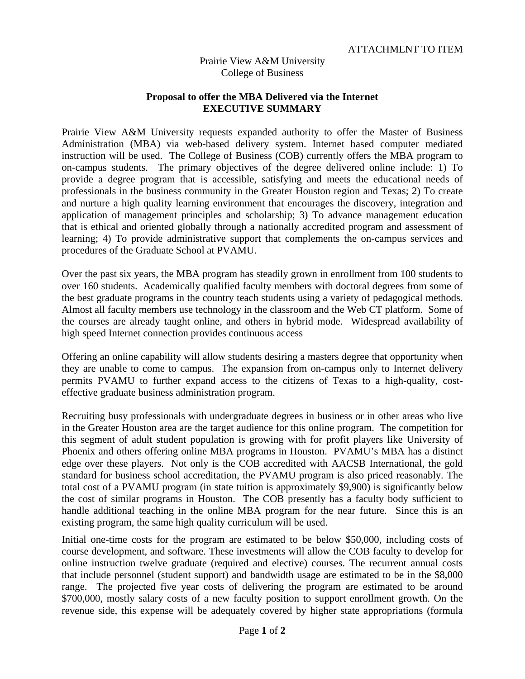## Prairie View A&M University College of Business

## **Proposal to offer the MBA Delivered via the Internet EXECUTIVE SUMMARY**

Prairie View A&M University requests expanded authority to offer the Master of Business Administration (MBA) via web-based delivery system. Internet based computer mediated instruction will be used. The College of Business (COB) currently offers the MBA program to on-campus students. The primary objectives of the degree delivered online include: 1) To provide a degree program that is accessible, satisfying and meets the educational needs of professionals in the business community in the Greater Houston region and Texas; 2) To create and nurture a high quality learning environment that encourages the discovery, integration and application of management principles and scholarship; 3) To advance management education that is ethical and oriented globally through a nationally accredited program and assessment of learning; 4) To provide administrative support that complements the on-campus services and procedures of the Graduate School at PVAMU.

Over the past six years, the MBA program has steadily grown in enrollment from 100 students to over 160 students. Academically qualified faculty members with doctoral degrees from some of the best graduate programs in the country teach students using a variety of pedagogical methods. Almost all faculty members use technology in the classroom and the Web CT platform. Some of the courses are already taught online, and others in hybrid mode. Widespread availability of high speed Internet connection provides continuous access

Offering an online capability will allow students desiring a masters degree that opportunity when they are unable to come to campus. The expansion from on-campus only to Internet delivery permits PVAMU to further expand access to the citizens of Texas to a high-quality, costeffective graduate business administration program.

Recruiting busy professionals with undergraduate degrees in business or in other areas who live in the Greater Houston area are the target audience for this online program. The competition for this segment of adult student population is growing with for profit players like University of Phoenix and others offering online MBA programs in Houston. PVAMU's MBA has a distinct edge over these players. Not only is the COB accredited with AACSB International, the gold standard for business school accreditation, the PVAMU program is also priced reasonably. The total cost of a PVAMU program (in state tuition is approximately \$9,900) is significantly below the cost of similar programs in Houston. The COB presently has a faculty body sufficient to handle additional teaching in the online MBA program for the near future. Since this is an existing program, the same high quality curriculum will be used.

Initial one-time costs for the program are estimated to be below \$50,000, including costs of course development, and software. These investments will allow the COB faculty to develop for online instruction twelve graduate (required and elective) courses. The recurrent annual costs that include personnel (student support) and bandwidth usage are estimated to be in the \$8,000 range. The projected five year costs of delivering the program are estimated to be around \$700,000, mostly salary costs of a new faculty position to support enrollment growth. On the revenue side, this expense will be adequately covered by higher state appropriations (formula